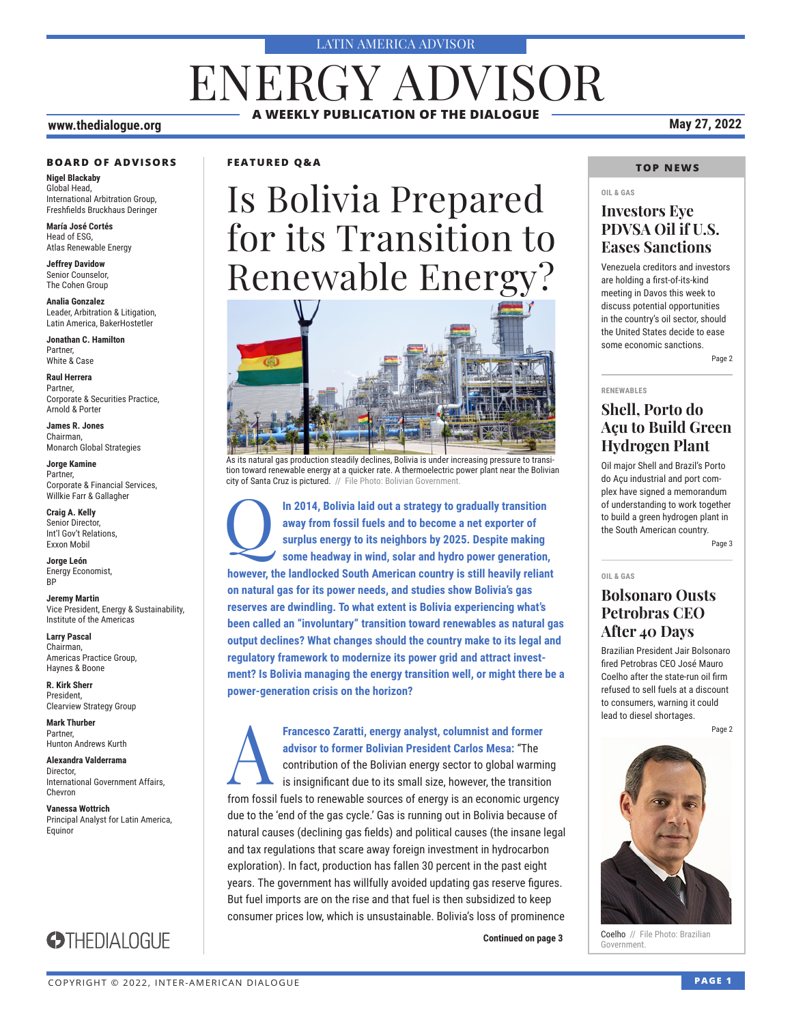#### LATIN AMERICA ADVISOR

## **A WEEKLY PUBLICATION OF THE DIALOGUE** ENERGY ADVISOR

#### **www.thedialogue.org May 27, 2022**

#### **BOARD OF ADVISORS**

**Nigel Blackaby** Global Head, International Arbitration Group, Freshfields Bruckhaus Deringer

**María José Cortés** Head of ESG, Atlas Renewable Energy

**Jeffrey Davidow** Senior Counselor, The Cohen Group

**Analia Gonzalez** Leader, Arbitration & Litigation, Latin America, BakerHostetler

**Jonathan C. Hamilton** Partner, White & Case

**Raul Herrera** Partner, Corporate & Securities Practice, Arnold & Porter

**James R. Jones** Chairman, Monarch Global Strategies

**Jorge Kamine** Partner, Corporate & Financial Services, Willkie Farr & Gallagher

**Craig A. Kelly** Senior Director, Int'l Gov't Relations, Exxon Mobil

**Jorge León** Energy Economist, **RP** 

**Jeremy Martin** Vice President, Energy & Sustainability, Institute of the Americas

**Larry Pascal** Chairman, Americas Practice Group, Haynes & Boone

**R. Kirk Sherr** President, Clearview Strategy Group

**Mark Thurber** Partner, Hunton Andrews Kurth

**Alexandra Valderrama** Director, International Government Affairs, Chevron

**Vanessa Wottrich** Principal Analyst for Latin America, Equinor

**STHEDIALOGUE** 

### **FEATURED Q&A**

# Is Bolivia Prepared for its Transition to Renewable Energy?



As its natural gas production steadily declines, Bolivia is under increasing pressure to transition toward renewable energy at a quicker rate. A thermoelectric power plant near the Bolivian city of Santa Cruz is pictured. // File Photo: Bolivian Government

In 2014, Bolivia laid out a strategy to gradually transition away from fossil fuels and to become a net exporter of surplus energy to its neighbors by 2025. Despite making some headway in wind. solar and hydro power genera **away from fossil fuels and to become a net exporter of surplus energy to its neighbors by 2025. Despite making some headway in wind, solar and hydro power generation, however, the landlocked South American country is still heavily reliant on natural gas for its power needs, and studies show Bolivia's gas reserves are dwindling. To what extent is Bolivia experiencing what's been called an "involuntary" transition toward renewables as natural gas output declines? What changes should the country make to its legal and regulatory framework to modernize its power grid and attract investment? Is Bolivia managing the energy transition well, or might there be a power-generation crisis on the horizon?**

A**Francesco Zaratti, energy analyst, columnist and former advisor to former Bolivian President Carlos Mesa:** "The contribution of the Bolivian energy sector to global warming is insignificant due to its small size, however, the transition from fossil fuels to renewable sources of energy is an economic urgency due to the 'end of the gas cycle.' Gas is running out in Bolivia because of natural causes (declining gas fields) and political causes (the insane legal and tax regulations that scare away foreign investment in hydrocarbon exploration). In fact, production has fallen 30 percent in the past eight years. The government has willfully avoided updating gas reserve figures. But fuel imports are on the rise and that fuel is then subsidized to keep consumer prices low, which is unsustainable. Bolivia's loss of prominence

**Continued on page 3** 

### **TOP NEWS**

### **OIL & GAS**

### **Investors Eye PDVSA Oil if U.S. Eases Sanctions**

Venezuela creditors and investors are holding a first-of-its-kind meeting in Davos this week to discuss potential opportunities in the country's oil sector, should the United States decide to ease some economic sanctions.

Page 2

#### **RENEWABLES**

### **Shell, Porto do Açu to Build Green Hydrogen Plant**

Oil major Shell and Brazil's Porto do Açu industrial and port complex have signed a memorandum of understanding to work together to build a green hydrogen plant in the South American country.

Page 3

#### **OIL & GAS**

### **Bolsonaro Ousts Petrobras CEO After 40 Days**

Brazilian President Jair Bolsonaro fired Petrobras CEO José Mauro Coelho after the state-run oil firm refused to sell fuels at a discount to consumers, warning it could lead to diesel shortages.

Page 2



Coelho // File Photo: Brazilian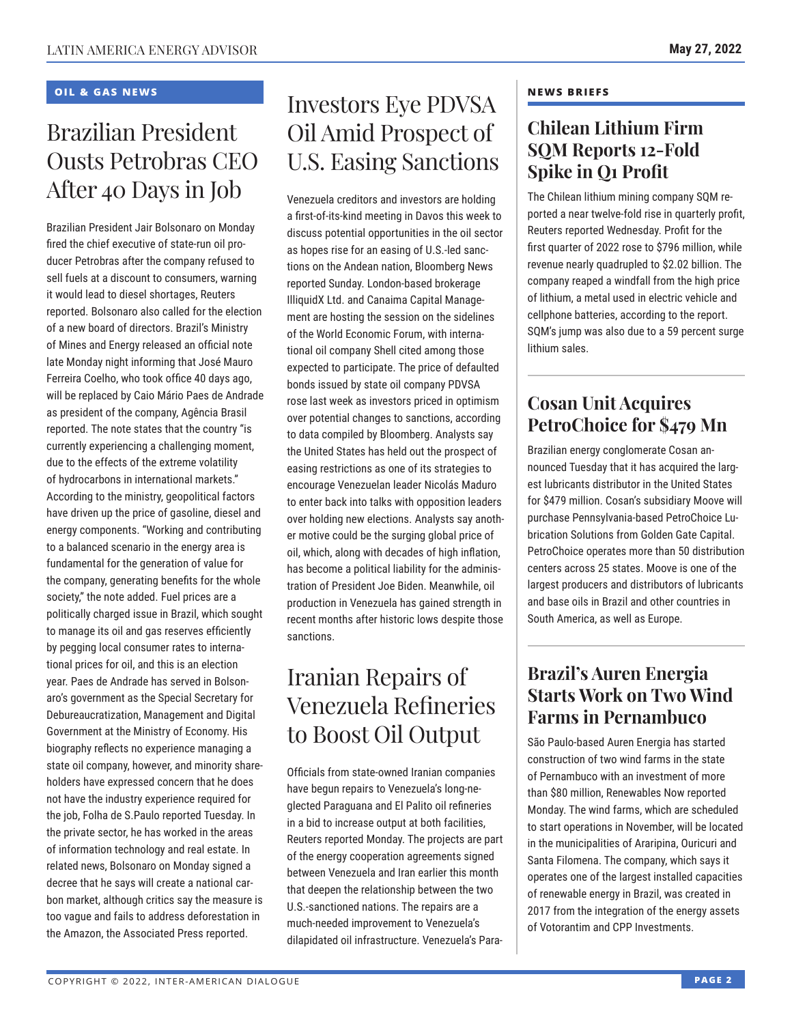### **OIL & GAS NEWS**

## Brazilian President Ousts Petrobras CEO After 40 Days in Job

Brazilian President Jair Bolsonaro on Monday fired the chief executive of state-run oil producer Petrobras after the company refused to sell fuels at a discount to consumers, warning it would lead to diesel shortages, Reuters reported. Bolsonaro also called for the election of a new board of directors. Brazil's Ministry of Mines and Energy released an official note late Monday night informing that José Mauro Ferreira Coelho, who took office 40 days ago, will be replaced by Caio Mário Paes de Andrade as president of the company, Agência Brasil reported. The note states that the country "is currently experiencing a challenging moment, due to the effects of the extreme volatility of hydrocarbons in international markets." According to the ministry, geopolitical factors have driven up the price of gasoline, diesel and energy components. "Working and contributing to a balanced scenario in the energy area is fundamental for the generation of value for the company, generating benefits for the whole society," the note added. Fuel prices are a politically charged issue in Brazil, which sought to manage its oil and gas reserves efficiently by pegging local consumer rates to international prices for oil, and this is an election year. Paes de Andrade has served in Bolsonaro's government as the Special Secretary for Debureaucratization, Management and Digital Government at the Ministry of Economy. His biography reflects no experience managing a state oil company, however, and minority shareholders have expressed concern that he does not have the industry experience required for the job, Folha de S.Paulo reported Tuesday. In the private sector, he has worked in the areas of information technology and real estate. In related news, Bolsonaro on Monday signed a decree that he says will create a national carbon market, although critics say the measure is too vague and fails to address deforestation in the Amazon, the Associated Press reported.

### Investors Eye PDVSA Oil Amid Prospect of U.S. Easing Sanctions

Venezuela creditors and investors are holding a first-of-its-kind meeting in Davos this week to discuss potential opportunities in the oil sector as hopes rise for an easing of U.S.-led sanctions on the Andean nation, Bloomberg News reported Sunday. London-based brokerage IlliquidX Ltd. and Canaima Capital Management are hosting the session on the sidelines of the World Economic Forum, with international oil company Shell cited among those expected to participate. The price of defaulted bonds issued by state oil company PDVSA rose last week as investors priced in optimism over potential changes to sanctions, according to data compiled by Bloomberg. Analysts say the United States has held out the prospect of easing restrictions as one of its strategies to encourage Venezuelan leader Nicolás Maduro to enter back into talks with opposition leaders over holding new elections. Analysts say another motive could be the surging global price of oil, which, along with decades of high inflation, has become a political liability for the administration of President Joe Biden. Meanwhile, oil production in Venezuela has gained strength in recent months after historic lows despite those sanctions.

## Iranian Repairs of Venezuela Refineries to Boost Oil Output

Officials from state-owned Iranian companies have begun repairs to Venezuela's long-neglected Paraguana and El Palito oil refineries in a bid to increase output at both facilities, Reuters reported Monday. The projects are part of the energy cooperation agreements signed between Venezuela and Iran earlier this month that deepen the relationship between the two U.S.-sanctioned nations. The repairs are a much-needed improvement to Venezuela's dilapidated oil infrastructure. Venezuela's Para-

#### **NEWS BRIEFS**

### **Chilean Lithium Firm SQM Reports 12-Fold Spike in Q1 Profit**

The Chilean lithium mining company SQM reported a near twelve-fold rise in quarterly profit, Reuters reported Wednesday. Profit for the first quarter of 2022 rose to \$796 million, while revenue nearly quadrupled to \$2.02 billion. The company reaped a windfall from the high price of lithium, a metal used in electric vehicle and cellphone batteries, according to the report. SQM's jump was also due to a 59 percent surge lithium sales.

### **Cosan Unit Acquires PetroChoice for \$479 Mn**

Brazilian energy conglomerate Cosan announced Tuesday that it has acquired the largest lubricants distributor in the United States for \$479 million. Cosan's subsidiary Moove will purchase Pennsylvania-based PetroChoice Lubrication Solutions from Golden Gate Capital. PetroChoice operates more than 50 distribution centers across 25 states. Moove is one of the largest producers and distributors of lubricants and base oils in Brazil and other countries in South America, as well as Europe.

### **Brazil's Auren Energia Starts Work on Two Wind Farms in Pernambuco**

São Paulo-based Auren Energia has started construction of two wind farms in the state of Pernambuco with an investment of more than \$80 million, Renewables Now reported Monday. The wind farms, which are scheduled to start operations in November, will be located in the municipalities of Araripina, Ouricuri and Santa Filomena. The company, which says it operates one of the largest installed capacities of renewable energy in Brazil, was created in 2017 from the integration of the energy assets of Votorantim and CPP Investments.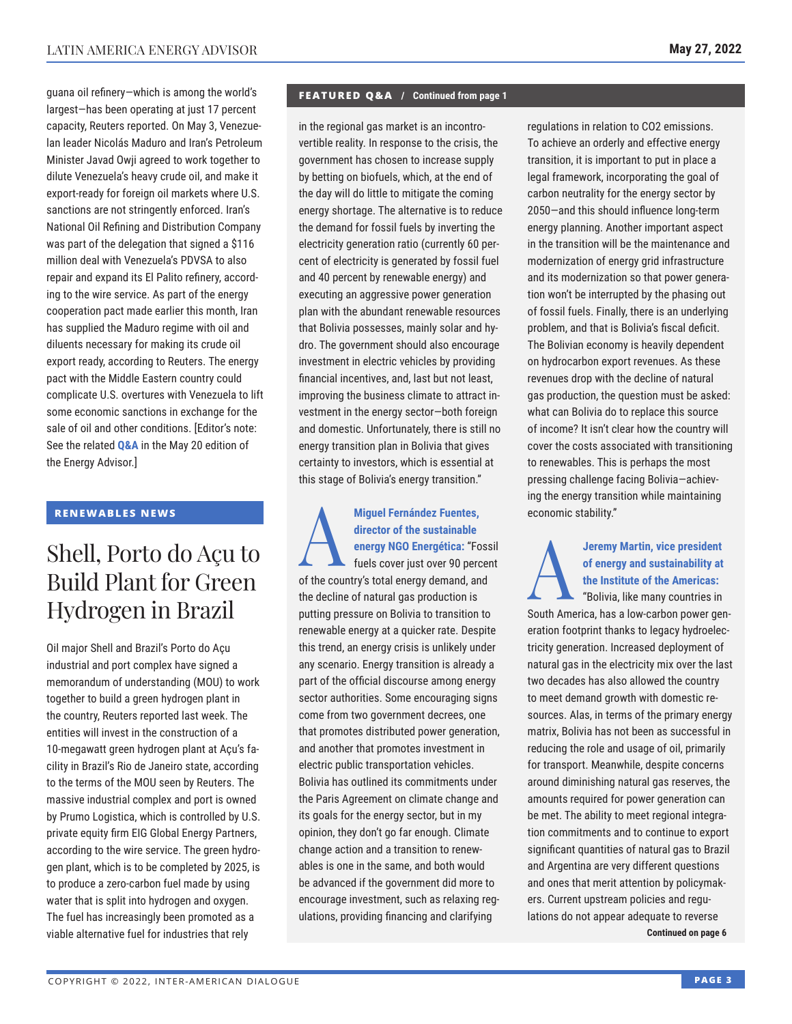guana oil refinery—which is among the world's largest—has been operating at just 17 percent capacity, Reuters reported. On May 3, Venezuelan leader Nicolás Maduro and Iran's Petroleum Minister Javad Owji agreed to work together to dilute Venezuela's heavy crude oil, and make it export-ready for foreign oil markets where U.S. sanctions are not stringently enforced. Iran's National Oil Refining and Distribution Company was part of the delegation that signed a \$116 million deal with Venezuela's PDVSA to also repair and expand its El Palito refinery, according to the wire service. As part of the energy cooperation pact made earlier this month, Iran has supplied the Maduro regime with oil and diluents necessary for making its crude oil export ready, according to Reuters. The energy pact with the Middle Eastern country could complicate U.S. overtures with Venezuela to lift some economic sanctions in exchange for the sale of oil and other conditions. [Editor's note: See the related **[Q&A](https://www.thedialogue.org/wp-content/uploads/2022/05/LEA220520.pdf)** in the May 20 edition of the Energy Advisor.]

### **RENEWABLES NEWS**

## Shell, Porto do Açu to Build Plant for Green Hydrogen in Brazil

Oil major Shell and Brazil's Porto do Açu industrial and port complex have signed a memorandum of understanding (MOU) to work together to build a green hydrogen plant in the country, Reuters reported last week. The entities will invest in the construction of a 10-megawatt green hydrogen plant at Açu's facility in Brazil's Rio de Janeiro state, according to the terms of the MOU seen by Reuters. The massive industrial complex and port is owned by Prumo Logistica, which is controlled by U.S. private equity firm EIG Global Energy Partners, according to the wire service. The green hydrogen plant, which is to be completed by 2025, is to produce a zero-carbon fuel made by using water that is split into hydrogen and oxygen. The fuel has increasingly been promoted as a viable alternative fuel for industries that rely

#### **FEATURED Q&A / Continued from page 1**

in the regional gas market is an incontrovertible reality. In response to the crisis, the government has chosen to increase supply by betting on biofuels, which, at the end of the day will do little to mitigate the coming energy shortage. The alternative is to reduce the demand for fossil fuels by inverting the electricity generation ratio (currently 60 percent of electricity is generated by fossil fuel and 40 percent by renewable energy) and executing an aggressive power generation plan with the abundant renewable resources that Bolivia possesses, mainly solar and hydro. The government should also encourage investment in electric vehicles by providing financial incentives, and, last but not least, improving the business climate to attract investment in the energy sector—both foreign and domestic. Unfortunately, there is still no energy transition plan in Bolivia that gives certainty to investors, which is essential at this stage of Bolivia's energy transition."

Miguel Fernández Fuentes,<br>
director of the sustainable<br>
energy NGO Energética: "Fossil<br>
fuels cover just over 90 percent<br>
of the summaristately percent and and **director of the sustainable energy NGO Energética:** "Fossil of the country's total energy demand, and the decline of natural gas production is putting pressure on Bolivia to transition to renewable energy at a quicker rate. Despite this trend, an energy crisis is unlikely under any scenario. Energy transition is already a part of the official discourse among energy sector authorities. Some encouraging signs come from two government decrees, one that promotes distributed power generation, and another that promotes investment in electric public transportation vehicles. Bolivia has outlined its commitments under the Paris Agreement on climate change and its goals for the energy sector, but in my opinion, they don't go far enough. Climate change action and a transition to renewables is one in the same, and both would be advanced if the government did more to encourage investment, such as relaxing regulations, providing financing and clarifying

regulations in relation to CO2 emissions. To achieve an orderly and effective energy transition, it is important to put in place a legal framework, incorporating the goal of carbon neutrality for the energy sector by 2050—and this should influence long-term energy planning. Another important aspect in the transition will be the maintenance and modernization of energy grid infrastructure and its modernization so that power generation won't be interrupted by the phasing out of fossil fuels. Finally, there is an underlying problem, and that is Bolivia's fiscal deficit. The Bolivian economy is heavily dependent on hydrocarbon export revenues. As these revenues drop with the decline of natural gas production, the question must be asked: what can Bolivia do to replace this source of income? It isn't clear how the country will cover the costs associated with transitioning to renewables. This is perhaps the most pressing challenge facing Bolivia—achieving the energy transition while maintaining economic stability."

### A**Jeremy Martin, vice president of energy and sustainability at the Institute of the Americas:**

"Bolivia, like many countries in South America, has a low-carbon power generation footprint thanks to legacy hydroelectricity generation. Increased deployment of natural gas in the electricity mix over the last two decades has also allowed the country to meet demand growth with domestic resources. Alas, in terms of the primary energy matrix, Bolivia has not been as successful in reducing the role and usage of oil, primarily for transport. Meanwhile, despite concerns around diminishing natural gas reserves, the amounts required for power generation can be met. The ability to meet regional integration commitments and to continue to export significant quantities of natural gas to Brazil and Argentina are very different questions and ones that merit attention by policymakers. Current upstream policies and regulations do not appear adequate to reverse **Continued on page 6**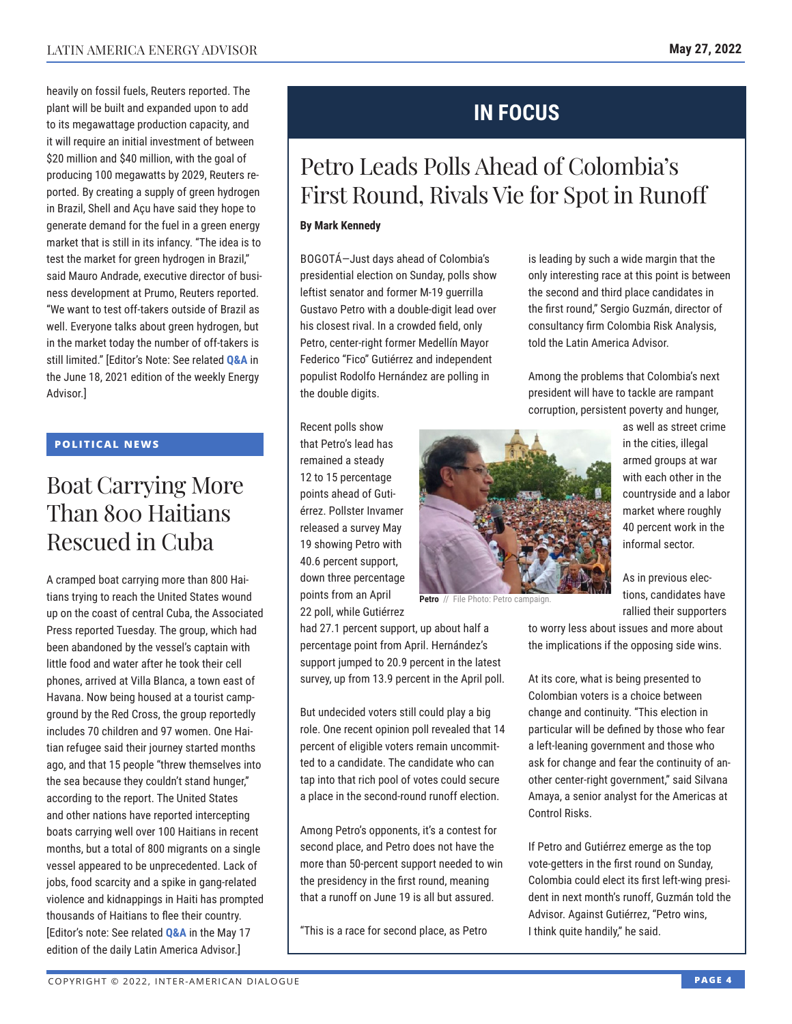heavily on fossil fuels, Reuters reported. The plant will be built and expanded upon to add to its megawattage production capacity, and it will require an initial investment of between \$20 million and \$40 million, with the goal of producing 100 megawatts by 2029, Reuters reported. By creating a supply of green hydrogen in Brazil, Shell and Açu have said they hope to generate demand for the fuel in a green energy market that is still in its infancy. "The idea is to test the market for green hydrogen in Brazil," said Mauro Andrade, executive director of business development at Prumo, Reuters reported. "We want to test off-takers outside of Brazil as well. Everyone talks about green hydrogen, but in the market today the number of off-takers is still limited." [Editor's Note: See related **[Q&A](https://www.thedialogue.org/wp-content/uploads/2021/06/LEA210618.pdf)** in the June 18, 2021 edition of the weekly Energy Advisor.]

### **POLITICAL NEWS**

## Boat Carrying More Than 800 Haitians Rescued in Cuba

A cramped boat carrying more than 800 Haitians trying to reach the United States wound up on the coast of central Cuba, the Associated Press reported Tuesday. The group, which had been abandoned by the vessel's captain with little food and water after he took their cell phones, arrived at Villa Blanca, a town east of Havana. Now being housed at a tourist campground by the Red Cross, the group reportedly includes 70 children and 97 women. One Haitian refugee said their journey started months ago, and that 15 people "threw themselves into the sea because they couldn't stand hunger," according to the report. The United States and other nations have reported intercepting boats carrying well over 100 Haitians in recent months, but a total of 800 migrants on a single vessel appeared to be unprecedented. Lack of jobs, food scarcity and a spike in gang-related violence and kidnappings in Haiti has prompted thousands of Haitians to flee their country. [Editor's note: See related **[Q&A](https://www.thedialogue.org/wp-content/uploads/2022/05/LAA220517.pdf)** in the May 17 edition of the daily Latin America Advisor.]

## **IN FOCUS**

## Petro Leads Polls Ahead of Colombia's First Round, Rivals Vie for Spot in Runoff

### **By Mark Kennedy**

BOGOTÁ—Just days ahead of Colombia's presidential election on Sunday, polls show leftist senator and former M-19 guerrilla Gustavo Petro with a double-digit lead over his closest rival. In a crowded field, only Petro, center-right former Medellín Mayor Federico "Fico" Gutiérrez and independent populist Rodolfo Hernández are polling in the double digits.

Recent polls show that Petro's lead has remained a steady 12 to 15 percentage points ahead of Gutiérrez. Pollster Invamer released a survey May 19 showing Petro with 40.6 percent support, down three percentage points from an April 22 poll, while Gutiérrez



**Petro** // File Photo: Petro campaig

had 27.1 percent support, up about half a percentage point from April. Hernández's support jumped to 20.9 percent in the latest survey, up from 13.9 percent in the April poll.

But undecided voters still could play a big role. One recent opinion poll revealed that 14 percent of eligible voters remain uncommitted to a candidate. The candidate who can tap into that rich pool of votes could secure a place in the second-round runoff election.

Among Petro's opponents, it's a contest for second place, and Petro does not have the more than 50-percent support needed to win the presidency in the first round, meaning that a runoff on June 19 is all but assured.

"This is a race for second place, as Petro

is leading by such a wide margin that the only interesting race at this point is between the second and third place candidates in the first round," Sergio Guzmán, director of consultancy firm Colombia Risk Analysis, told the Latin America Advisor.

Among the problems that Colombia's next president will have to tackle are rampant corruption, persistent poverty and hunger,

> as well as street crime in the cities, illegal armed groups at war with each other in the countryside and a labor market where roughly 40 percent work in the informal sector.

As in previous elections, candidates have rallied their supporters

to worry less about issues and more about the implications if the opposing side wins.

At its core, what is being presented to Colombian voters is a choice between change and continuity. "This election in particular will be defined by those who fear a left-leaning government and those who ask for change and fear the continuity of another center-right government," said Silvana Amaya, a senior analyst for the Americas at Control Risks.

If Petro and Gutiérrez emerge as the top vote-getters in the first round on Sunday, Colombia could elect its first left-wing president in next month's runoff, Guzmán told the Advisor. Against Gutiérrez, "Petro wins, I think quite handily," he said.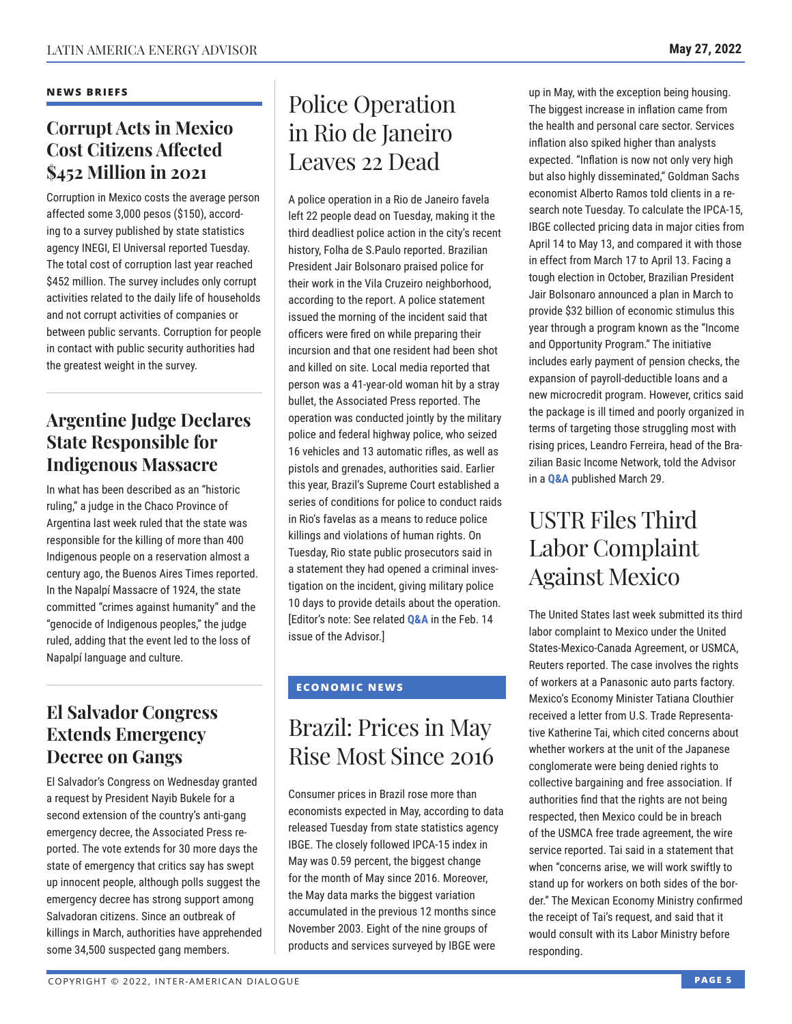### **NEWS BRIEFS**

### **Corrupt Acts in Mexico Cost Citizens Affected \$452 Million in 2021**

Corruption in Mexico costs the average person affected some 3,000 pesos (\$150), according to a survey published by state statistics agency INEGI, El Universal reported Tuesday. The total cost of corruption last year reached \$452 million. The survey includes only corrupt activities related to the daily life of households and not corrupt activities of companies or between public servants. Corruption for people in contact with public security authorities had the greatest weight in the survey.

### **Argentine Judge Declares State Responsible for Indigenous Massacre**

In what has been described as an "historic ruling," a judge in the Chaco Province of Argentina last week ruled that the state was responsible for the killing of more than 400 Indigenous people on a reservation almost a century ago, the Buenos Aires Times reported. In the Napalpí Massacre of 1924, the state committed "crimes against humanity" and the "genocide of Indigenous peoples," the judge ruled, adding that the event led to the loss of Napalpí language and culture.

### **El Salvador Congress Extends Emergency Decree on Gangs**

El Salvador's Congress on Wednesday granted a request by President Nayib Bukele for a second extension of the country's anti-gang emergency decree, the Associated Press reported. The vote extends for 30 more days the state of emergency that critics say has swept up innocent people, although polls suggest the emergency decree has strong support among Salvadoran citizens. Since an outbreak of killings in March, authorities have apprehended some 34,500 suspected gang members.

## Police Operation in Rio de Janeiro Leaves 22 Dead

A police operation in a Rio de Janeiro favela left 22 people dead on Tuesday, making it the third deadliest police action in the city's recent history, Folha de S.Paulo reported. Brazilian President Jair Bolsonaro praised police for their work in the Vila Cruzeiro neighborhood, according to the report. A police statement issued the morning of the incident said that officers were fired on while preparing their incursion and that one resident had been shot and killed on site. Local media reported that person was a 41-year-old woman hit by a stray bullet, the Associated Press reported. The operation was conducted jointly by the military police and federal highway police, who seized 16 vehicles and 13 automatic rifles, as well as pistols and grenades, authorities said. Earlier this year, Brazil's Supreme Court established a series of conditions for police to conduct raids in Rio's favelas as a means to reduce police killings and violations of human rights. On Tuesday, Rio state public prosecutors said in a statement they had opened a criminal investigation on the incident, giving military police 10 days to provide details about the operation. [Editor's note: See related **Q&A** in the Feb. 14 issue of the Advisor.]

### **ECONOMIC NEWS**

## Brazil: Prices in May Rise Most Since 2016

Consumer prices in Brazil rose more than economists expected in May, according to data released Tuesday from state statistics agency IBGE. The closely followed IPCA-15 index in May was 0.59 percent, the biggest change for the month of May since 2016. Moreover, the May data marks the biggest variation accumulated in the previous 12 months since November 2003. Eight of the nine groups of products and services surveyed by IBGE were

up in May, with the exception being housing. The biggest increase in inflation came from the health and personal care sector. Services inflation also spiked higher than analysts expected. "Inflation is now not only very high but also highly disseminated," Goldman Sachs economist Alberto Ramos told clients in a research note Tuesday. To calculate the IPCA-15, IBGE collected pricing data in major cities from April 14 to May 13, and compared it with those in effect from March 17 to April 13. Facing a tough election in October, Brazilian President Jair Bolsonaro announced a plan in March to provide \$32 billion of economic stimulus this year through a program known as the "Income and Opportunity Program." The initiative includes early payment of pension checks, the expansion of payroll-deductible loans and a new microcredit program. However, critics said the package is ill timed and poorly organized in terms of targeting those struggling most with rising prices, Leandro Ferreira, head of the Brazilian Basic Income Network, told the Advisor in a **Q&A** published March 29.

## USTR Files Third Labor Complaint Against Mexico

The United States last week submitted its third labor complaint to Mexico under the United States-Mexico-Canada Agreement, or USMCA, Reuters reported. The case involves the rights of workers at a Panasonic auto parts factory. Mexico's Economy Minister Tatiana Clouthier received a letter from U.S. Trade Representative Katherine Tai, which cited concerns about whether workers at the unit of the Japanese conglomerate were being denied rights to collective bargaining and free association. If authorities find that the rights are not being respected, then Mexico could be in breach of the USMCA free trade agreement, the wire service reported. Tai said in a statement that when "concerns arise, we will work swiftly to stand up for workers on both sides of the border." The Mexican Economy Ministry confirmed the receipt of Tai's request, and said that it would consult with its Labor Ministry before responding.